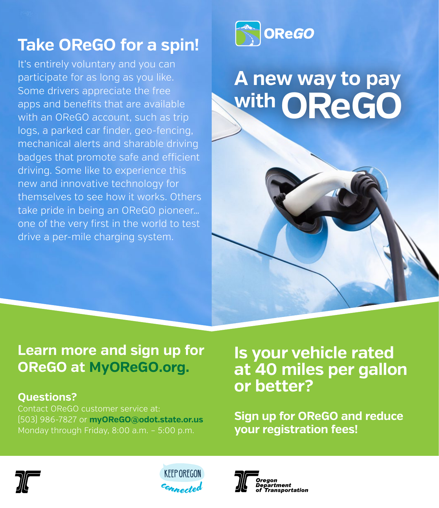## **Take OReGO for a spin!**

It's entirely voluntary and you can participate for as long as you like. Some drivers appreciate the free apps and benefits that are available with an OReGO account, such as trip logs, a parked car finder, geo-fencing, mechanical alerts and sharable driving badges that promote safe and efficient driving. Some like to experience this new and innovative technology for themselves to see how it works. Others take pride in being an OReGO pioneer… one of the very first in the world to test drive a per-mile charging system.



# **A new way to pay**  with OReGO



#### **Questions?**

Contact OReGO customer service at: (503) 986-7827 or **myOReGO@odot.state.or.us** Monday through Friday, 8:00 a.m. – 5:00 p.m.

## **Is your vehicle rated at 40 miles per gallon or better?**

**Sign up for OReGO and reduce your registration fees!**